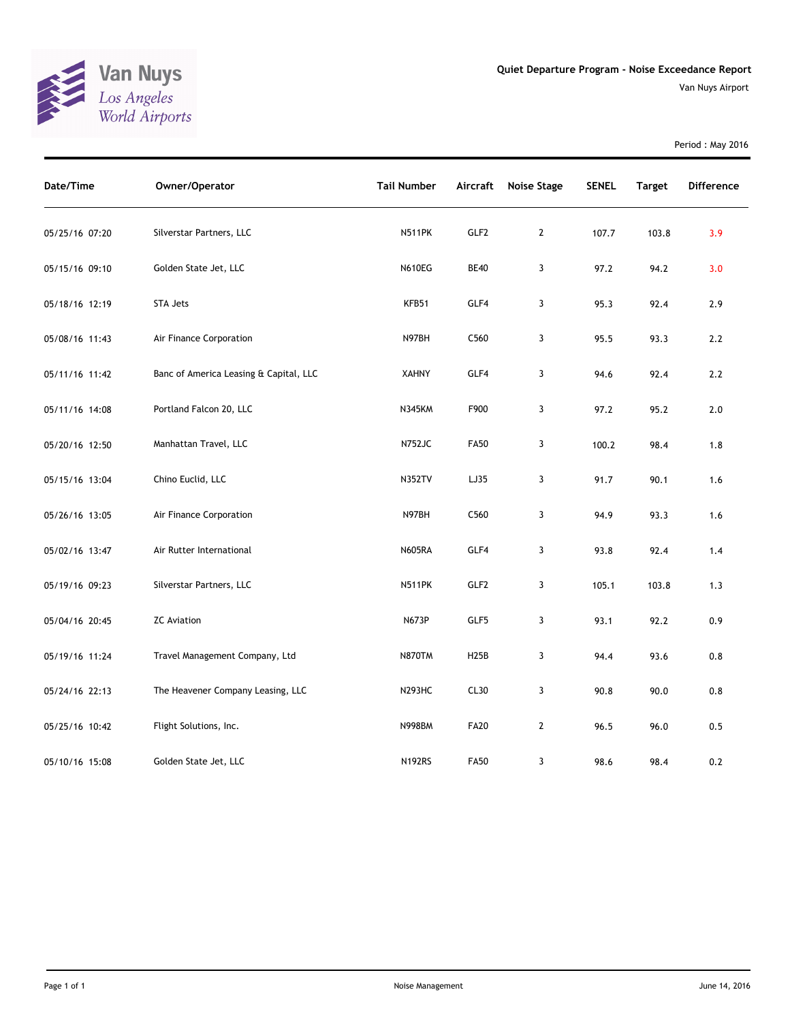

Period : May 2016

| Date/Time      | Owner/Operator                         | <b>Tail Number</b> | Aircraft          | Noise Stage  | <b>SENEL</b> | <b>Target</b> | <b>Difference</b> |
|----------------|----------------------------------------|--------------------|-------------------|--------------|--------------|---------------|-------------------|
| 05/25/16 07:20 | Silverstar Partners, LLC               | <b>N511PK</b>      | GLF2              | $\mathbf{2}$ | 107.7        | 103.8         | 3.9               |
| 05/15/16 09:10 | Golden State Jet, LLC                  | <b>N610EG</b>      | <b>BE40</b>       | 3            | 97.2         | 94.2          | 3.0               |
| 05/18/16 12:19 | <b>STA Jets</b>                        | KFB51              | GLF4              | 3            | 95.3         | 92.4          | 2.9               |
| 05/08/16 11:43 | Air Finance Corporation                | N97BH              | C560              | 3            | 95.5         | 93.3          | 2.2               |
| 05/11/16 11:42 | Banc of America Leasing & Capital, LLC | <b>XAHNY</b>       | GLF4              | 3            | 94.6         | 92.4          | $2.2\,$           |
| 05/11/16 14:08 | Portland Falcon 20, LLC                | <b>N345KM</b>      | F900              | 3            | 97.2         | 95.2          | $2.0\,$           |
| 05/20/16 12:50 | Manhattan Travel, LLC                  | <b>N752JC</b>      | <b>FA50</b>       | 3            | 100.2        | 98.4          | 1.8               |
| 05/15/16 13:04 | Chino Euclid, LLC                      | <b>N352TV</b>      | LJ35              | 3            | 91.7         | 90.1          | 1.6               |
| 05/26/16 13:05 | Air Finance Corporation                | N97BH              | C560              | 3            | 94.9         | 93.3          | 1.6               |
| 05/02/16 13:47 | Air Rutter International               | <b>N605RA</b>      | GLF4              | 3            | 93.8         | 92.4          | 1.4               |
| 05/19/16 09:23 | Silverstar Partners, LLC               | <b>N511PK</b>      | GLF <sub>2</sub>  | 3            | 105.1        | 103.8         | 1.3               |
| 05/04/16 20:45 | <b>ZC Aviation</b>                     | N673P              | GLF5              | 3            | 93.1         | 92.2          | 0.9               |
| 05/19/16 11:24 | Travel Management Company, Ltd         | <b>N870TM</b>      | H <sub>25</sub> B | 3            | 94.4         | 93.6          | 0.8               |
| 05/24/16 22:13 | The Heavener Company Leasing, LLC      | <b>N293HC</b>      | CL30              | 3            | 90.8         | 90.0          | $0.8\,$           |
| 05/25/16 10:42 | Flight Solutions, Inc.                 | <b>N998BM</b>      | <b>FA20</b>       | $\mathbf{2}$ | 96.5         | 96.0          | 0.5               |
| 05/10/16 15:08 | Golden State Jet, LLC                  | <b>N192RS</b>      | <b>FA50</b>       | 3            | 98.6         | 98.4          | 0.2               |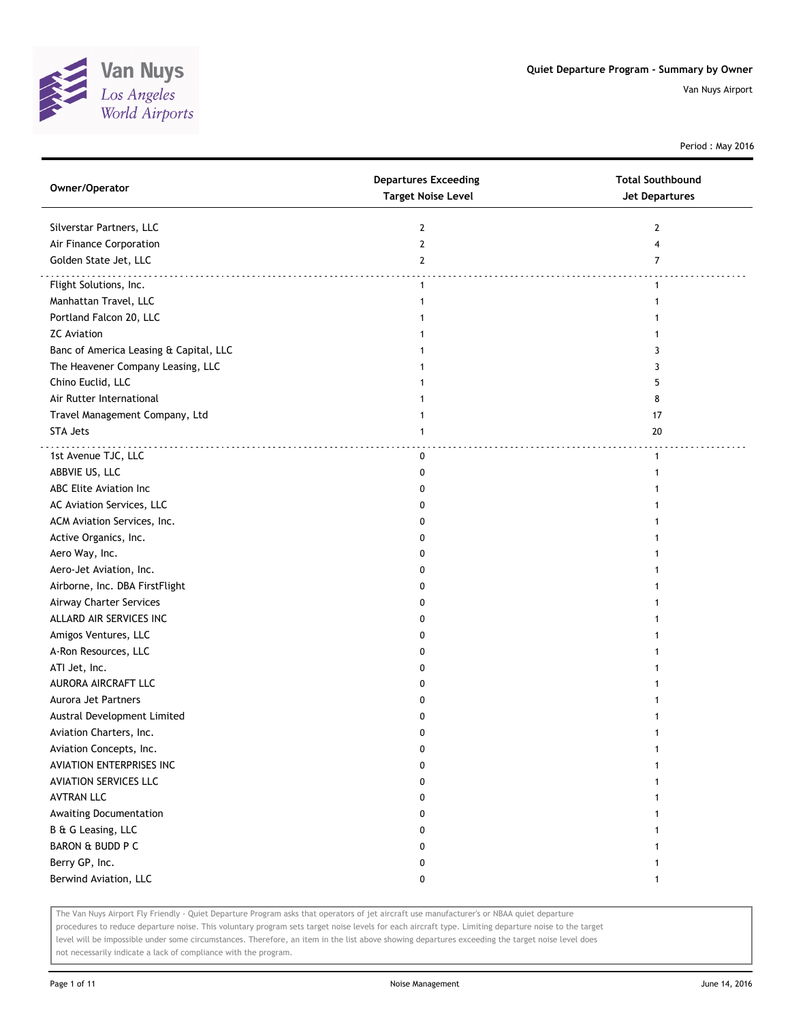

Period : May 2016

| Owner/Operator                         | <b>Departures Exceeding</b><br><b>Target Noise Level</b> | <b>Total Southbound</b><br><b>Jet Departures</b> |
|----------------------------------------|----------------------------------------------------------|--------------------------------------------------|
| Silverstar Partners, LLC               | 2                                                        | 2                                                |
| Air Finance Corporation                | $\overline{2}$                                           | 4                                                |
| Golden State Jet, LLC                  | $\mathbf{2}$                                             | $\overline{7}$                                   |
| Flight Solutions, Inc.                 | $\mathbf{1}$                                             | 1                                                |
| Manhattan Travel, LLC                  | 1                                                        |                                                  |
| Portland Falcon 20, LLC                |                                                          |                                                  |
| <b>ZC</b> Aviation                     |                                                          |                                                  |
| Banc of America Leasing & Capital, LLC |                                                          | 3                                                |
| The Heavener Company Leasing, LLC      |                                                          | 3                                                |
| Chino Euclid, LLC                      |                                                          | 5                                                |
| Air Rutter International               |                                                          | 8                                                |
| Travel Management Company, Ltd         | 1                                                        | 17                                               |
| <b>STA Jets</b>                        | $\mathbf{1}$                                             | 20                                               |
|                                        |                                                          |                                                  |
| 1st Avenue TJC, LLC                    | 0                                                        | 1                                                |
| ABBVIE US, LLC                         | 0                                                        |                                                  |
| ABC Elite Aviation Inc                 | 0                                                        |                                                  |
| AC Aviation Services, LLC              | 0                                                        |                                                  |
| ACM Aviation Services, Inc.            | 0                                                        |                                                  |
| Active Organics, Inc.                  | 0                                                        |                                                  |
| Aero Way, Inc.                         | 0                                                        |                                                  |
| Aero-Jet Aviation, Inc.                | 0                                                        |                                                  |
| Airborne, Inc. DBA FirstFlight         | 0                                                        |                                                  |
| Airway Charter Services                | 0                                                        |                                                  |
| ALLARD AIR SERVICES INC                | 0                                                        |                                                  |
| Amigos Ventures, LLC                   | 0                                                        |                                                  |
| A-Ron Resources, LLC                   | 0                                                        |                                                  |
| ATI Jet, Inc.                          | 0                                                        |                                                  |
| AURORA AIRCRAFT LLC                    | 0                                                        |                                                  |
| Aurora Jet Partners                    | 0                                                        |                                                  |
| Austral Development Limited            | 0                                                        |                                                  |
| Aviation Charters, Inc.                | 0                                                        |                                                  |
| Aviation Concepts, Inc.                | U                                                        |                                                  |
| AVIATION ENTERPRISES INC               | 0                                                        |                                                  |
| <b>AVIATION SERVICES LLC</b>           | 0                                                        |                                                  |
| <b>AVTRAN LLC</b>                      | 0                                                        |                                                  |
| Awaiting Documentation                 | 0                                                        |                                                  |
| B & G Leasing, LLC                     | 0                                                        |                                                  |
| BARON & BUDD P C                       | 0                                                        |                                                  |
| Berry GP, Inc.                         | 0                                                        |                                                  |
| Berwind Aviation, LLC                  | 0                                                        | $\mathbf{1}$                                     |

The Van Nuys Airport Fly Friendly - Quiet Departure Program asks that operators of jet aircraft use manufacturer's or NBAA quiet departure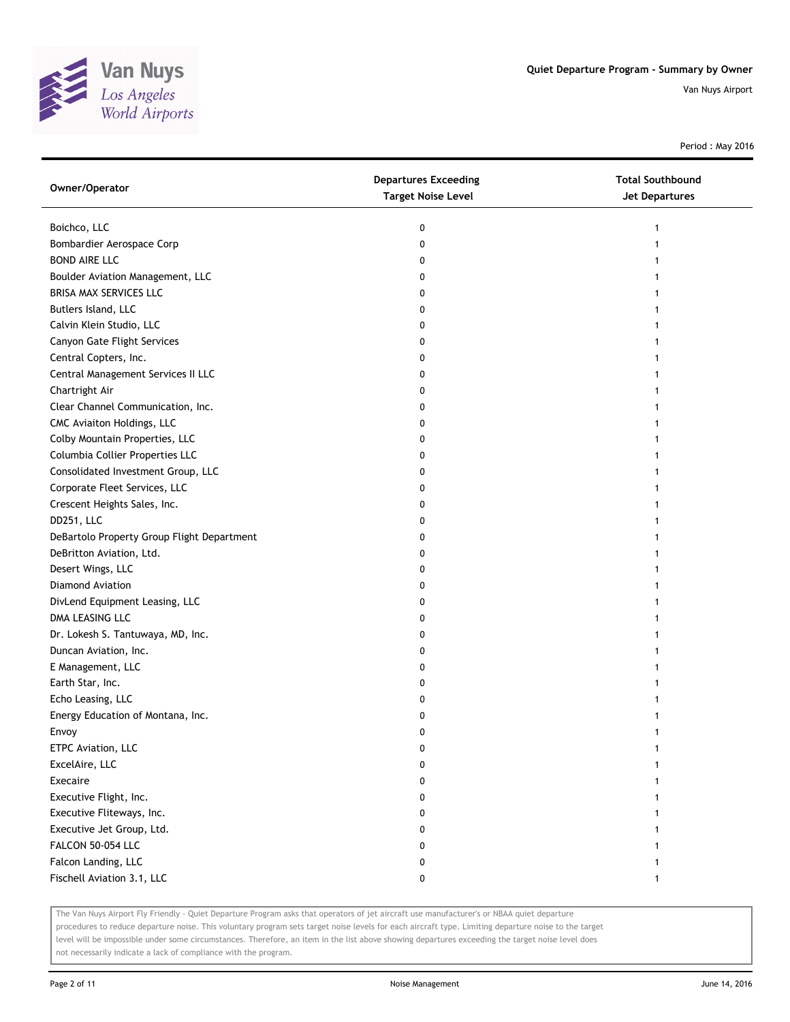

Period : May 2016

| Owner/Operator                             | <b>Departures Exceeding</b><br><b>Target Noise Level</b> | <b>Total Southbound</b><br>Jet Departures |
|--------------------------------------------|----------------------------------------------------------|-------------------------------------------|
| Boichco, LLC                               | 0                                                        |                                           |
| Bombardier Aerospace Corp                  | 0                                                        |                                           |
| <b>BOND AIRE LLC</b>                       | 0                                                        |                                           |
| Boulder Aviation Management, LLC           | 0                                                        |                                           |
| BRISA MAX SERVICES LLC                     | 0                                                        |                                           |
| Butlers Island, LLC                        | 0                                                        |                                           |
| Calvin Klein Studio, LLC                   | 0                                                        |                                           |
| Canyon Gate Flight Services                | 0                                                        |                                           |
| Central Copters, Inc.                      | 0                                                        |                                           |
| Central Management Services II LLC         | 0                                                        |                                           |
| Chartright Air                             | 0                                                        |                                           |
| Clear Channel Communication, Inc.          | 0                                                        |                                           |
| CMC Aviaiton Holdings, LLC                 | 0                                                        |                                           |
| Colby Mountain Properties, LLC             | 0                                                        |                                           |
| Columbia Collier Properties LLC            | 0                                                        |                                           |
| Consolidated Investment Group, LLC         | 0                                                        |                                           |
| Corporate Fleet Services, LLC              | 0                                                        |                                           |
| Crescent Heights Sales, Inc.               | 0                                                        |                                           |
| DD251, LLC                                 | 0                                                        |                                           |
| DeBartolo Property Group Flight Department | 0                                                        |                                           |
| DeBritton Aviation, Ltd.                   | 0                                                        |                                           |
| Desert Wings, LLC                          | 0                                                        |                                           |
| Diamond Aviation                           | 0                                                        |                                           |
| DivLend Equipment Leasing, LLC             | 0                                                        |                                           |
| DMA LEASING LLC                            | 0                                                        |                                           |
| Dr. Lokesh S. Tantuwaya, MD, Inc.          | 0                                                        |                                           |
| Duncan Aviation, Inc.                      | 0                                                        |                                           |
| E Management, LLC                          | 0                                                        |                                           |
| Earth Star, Inc.                           | 0                                                        |                                           |
| Echo Leasing, LLC                          | 0                                                        |                                           |
| Energy Education of Montana, Inc.          | 0                                                        |                                           |
| Envoy                                      | 0                                                        |                                           |
| ETPC Aviation, LLC                         | U                                                        |                                           |
| ExcelAire, LLC                             | 0                                                        |                                           |
| Execaire                                   | 0                                                        |                                           |
| Executive Flight, Inc.                     | 0                                                        |                                           |
| Executive Fliteways, Inc.                  | 0                                                        |                                           |
| Executive Jet Group, Ltd.                  | 0                                                        |                                           |
| FALCON 50-054 LLC                          | 0                                                        |                                           |
| Falcon Landing, LLC                        | 0                                                        |                                           |
| Fischell Aviation 3.1, LLC                 | 0                                                        |                                           |

The Van Nuys Airport Fly Friendly - Quiet Departure Program asks that operators of jet aircraft use manufacturer's or NBAA quiet departure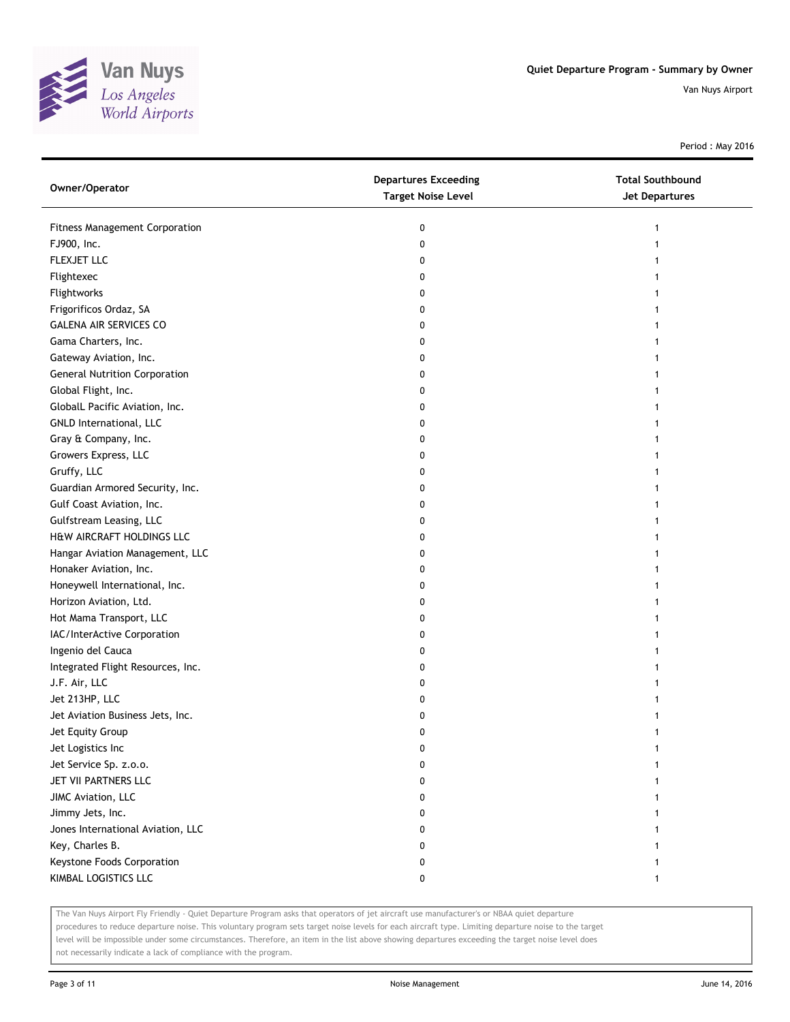

Period : May 2016

| Owner/Operator                       | <b>Departures Exceeding</b><br><b>Target Noise Level</b> | <b>Total Southbound</b><br><b>Jet Departures</b> |
|--------------------------------------|----------------------------------------------------------|--------------------------------------------------|
| Fitness Management Corporation       | 0                                                        | 1                                                |
| FJ900, Inc.                          | 0                                                        | 1                                                |
| <b>FLEXJET LLC</b>                   | 0                                                        |                                                  |
| Flightexec                           | 0                                                        |                                                  |
| Flightworks                          | 0                                                        |                                                  |
| Frigorificos Ordaz, SA               | 0                                                        |                                                  |
| <b>GALENA AIR SERVICES CO</b>        | 0                                                        | 1                                                |
| Gama Charters, Inc.                  | 0                                                        | 1                                                |
| Gateway Aviation, Inc.               | 0                                                        |                                                  |
| <b>General Nutrition Corporation</b> | 0                                                        |                                                  |
| Global Flight, Inc.                  | 0                                                        |                                                  |
| GlobalL Pacific Aviation, Inc.       | 0                                                        |                                                  |
| GNLD International, LLC              | 0                                                        |                                                  |
| Gray & Company, Inc.                 | 0                                                        |                                                  |
| Growers Express, LLC                 | 0                                                        |                                                  |
| Gruffy, LLC                          | 0                                                        |                                                  |
| Guardian Armored Security, Inc.      | 0                                                        | 1                                                |
| Gulf Coast Aviation, Inc.            | 0                                                        | 1                                                |
| Gulfstream Leasing, LLC              | 0                                                        |                                                  |
| H&W AIRCRAFT HOLDINGS LLC            | 0                                                        |                                                  |
| Hangar Aviation Management, LLC      | 0                                                        |                                                  |
| Honaker Aviation, Inc.               | 0                                                        |                                                  |
| Honeywell International, Inc.        | 0                                                        |                                                  |
| Horizon Aviation, Ltd.               | 0                                                        |                                                  |
| Hot Mama Transport, LLC              | 0                                                        |                                                  |
| IAC/InterActive Corporation          | 0                                                        |                                                  |
| Ingenio del Cauca                    | 0                                                        |                                                  |
| Integrated Flight Resources, Inc.    | 0                                                        |                                                  |
| J.F. Air, LLC                        | 0                                                        |                                                  |
| Jet 213HP, LLC                       | 0                                                        |                                                  |
| Jet Aviation Business Jets, Inc.     | 0                                                        |                                                  |
| Jet Equity Group                     | 0                                                        |                                                  |
| Jet Logistics Inc                    | U                                                        |                                                  |
| Jet Service Sp. z.o.o.               | 0                                                        |                                                  |
| JET VII PARTNERS LLC                 | 0                                                        |                                                  |
| JIMC Aviation, LLC                   | 0                                                        |                                                  |
| Jimmy Jets, Inc.                     | 0                                                        |                                                  |
| Jones International Aviation, LLC    | 0                                                        |                                                  |
| Key, Charles B.                      | 0                                                        |                                                  |
| Keystone Foods Corporation           | 0                                                        |                                                  |
| KIMBAL LOGISTICS LLC                 | 0                                                        | 1                                                |

The Van Nuys Airport Fly Friendly - Quiet Departure Program asks that operators of jet aircraft use manufacturer's or NBAA quiet departure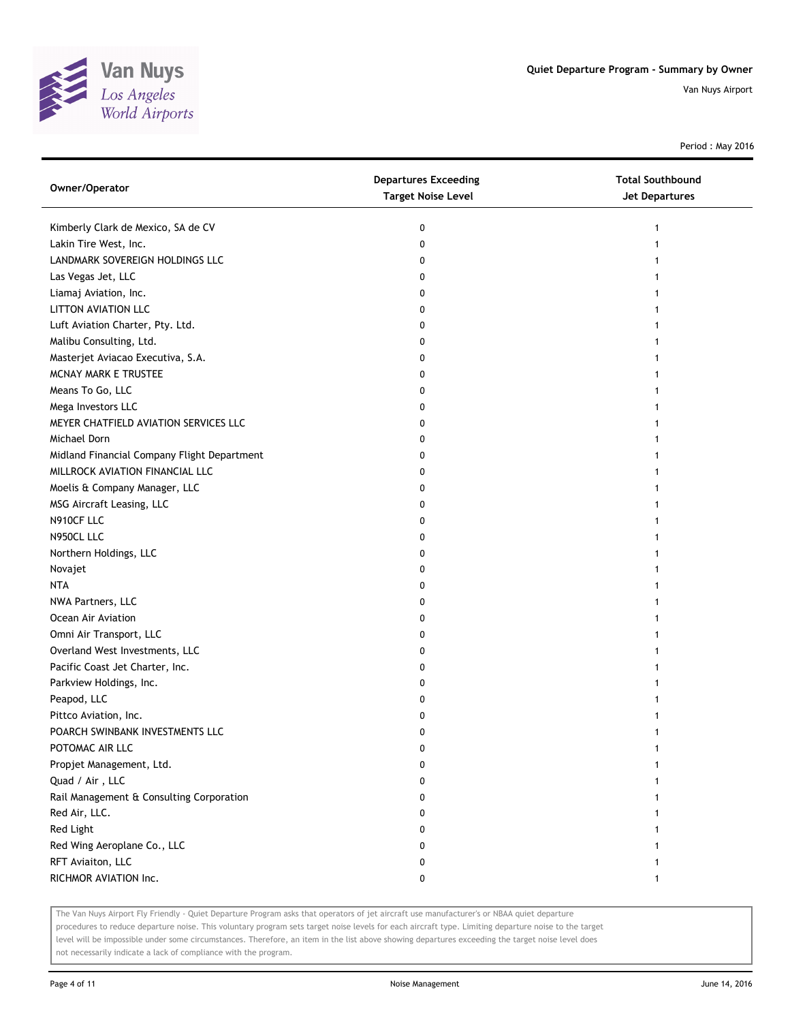

Period : May 2016

| Owner/Operator                              | <b>Departures Exceeding</b><br><b>Target Noise Level</b> | <b>Total Southbound</b><br><b>Jet Departures</b> |
|---------------------------------------------|----------------------------------------------------------|--------------------------------------------------|
| Kimberly Clark de Mexico, SA de CV          | 0                                                        | 1                                                |
| Lakin Tire West, Inc.                       | 0                                                        |                                                  |
| LANDMARK SOVEREIGN HOLDINGS LLC             | 0                                                        |                                                  |
| Las Vegas Jet, LLC                          | 0                                                        |                                                  |
| Liamaj Aviation, Inc.                       | 0                                                        |                                                  |
| LITTON AVIATION LLC                         | 0                                                        |                                                  |
| Luft Aviation Charter, Pty. Ltd.            | 0                                                        |                                                  |
| Malibu Consulting, Ltd.                     | 0                                                        | 1                                                |
| Masterjet Aviacao Executiva, S.A.           | 0                                                        |                                                  |
| MCNAY MARK E TRUSTEE                        | 0                                                        |                                                  |
| Means To Go, LLC                            | 0                                                        |                                                  |
| Mega Investors LLC                          | 0                                                        |                                                  |
| MEYER CHATFIELD AVIATION SERVICES LLC       | 0                                                        |                                                  |
| Michael Dorn                                | 0                                                        |                                                  |
| Midland Financial Company Flight Department | 0                                                        |                                                  |
| MILLROCK AVIATION FINANCIAL LLC             | 0                                                        |                                                  |
| Moelis & Company Manager, LLC               | 0                                                        |                                                  |
| MSG Aircraft Leasing, LLC                   | 0                                                        | 1                                                |
| N910CF LLC                                  | 0                                                        |                                                  |
| N950CL LLC                                  | 0                                                        |                                                  |
| Northern Holdings, LLC                      | 0                                                        |                                                  |
| Novajet                                     | 0                                                        |                                                  |
| <b>NTA</b>                                  | 0                                                        |                                                  |
| NWA Partners, LLC                           | 0                                                        |                                                  |
| Ocean Air Aviation                          | 0                                                        |                                                  |
| Omni Air Transport, LLC                     | 0                                                        |                                                  |
| Overland West Investments, LLC              | 0                                                        |                                                  |
| Pacific Coast Jet Charter, Inc.             | 0                                                        |                                                  |
| Parkview Holdings, Inc.                     | 0                                                        |                                                  |
| Peapod, LLC                                 | 0                                                        |                                                  |
| Pittco Aviation, Inc.                       | 0                                                        |                                                  |
| POARCH SWINBANK INVESTMENTS LLC             | 0                                                        |                                                  |
| POTOMAC AIR LLC                             | U                                                        |                                                  |
| Propjet Management, Ltd.                    | 0                                                        |                                                  |
| Quad / Air, LLC                             | 0                                                        |                                                  |
| Rail Management & Consulting Corporation    | 0                                                        |                                                  |
| Red Air, LLC.                               | 0                                                        |                                                  |
| Red Light                                   | 0                                                        |                                                  |
| Red Wing Aeroplane Co., LLC                 | 0                                                        |                                                  |
| RFT Aviaiton, LLC                           | 0                                                        |                                                  |
| RICHMOR AVIATION Inc.                       | 0                                                        | 1                                                |

The Van Nuys Airport Fly Friendly - Quiet Departure Program asks that operators of jet aircraft use manufacturer's or NBAA quiet departure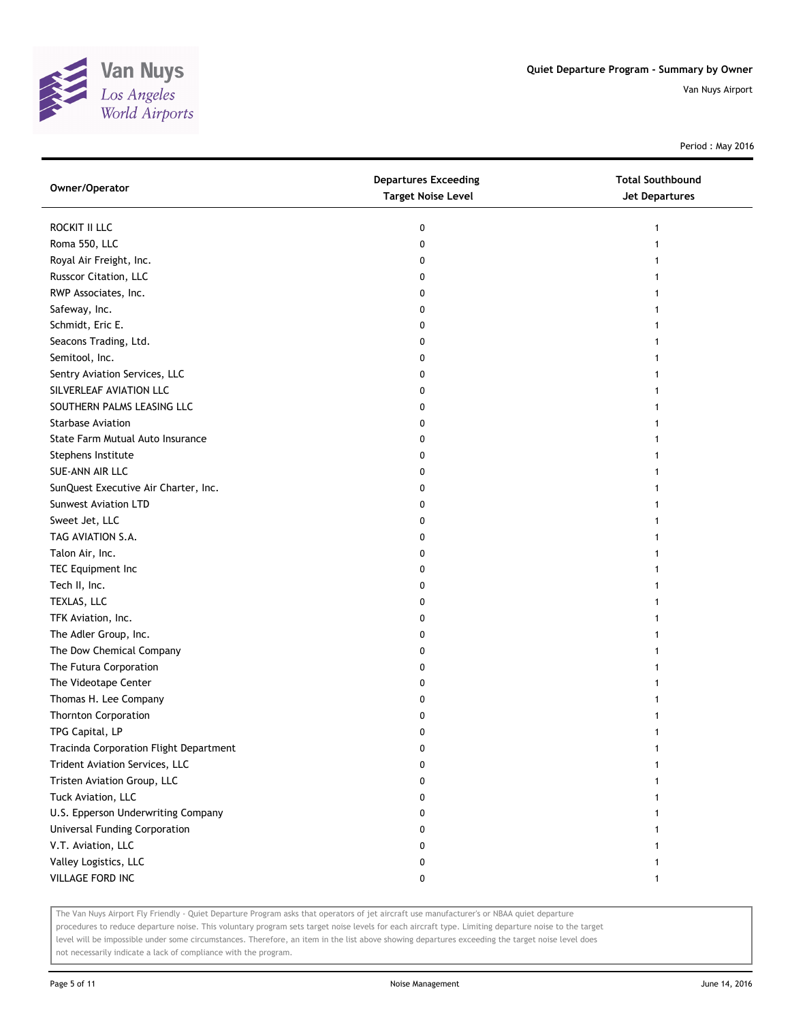

Period : May 2016

| Owner/Operator                         | <b>Departures Exceeding</b><br><b>Target Noise Level</b> | <b>Total Southbound</b><br><b>Jet Departures</b> |
|----------------------------------------|----------------------------------------------------------|--------------------------------------------------|
| ROCKIT II LLC                          | 0                                                        | 1                                                |
| Roma 550, LLC                          | 0                                                        |                                                  |
| Royal Air Freight, Inc.                | 0                                                        |                                                  |
| Russcor Citation, LLC                  | 0                                                        |                                                  |
| RWP Associates, Inc.                   | 0                                                        |                                                  |
| Safeway, Inc.                          | 0                                                        |                                                  |
| Schmidt, Eric E.                       | 0                                                        |                                                  |
| Seacons Trading, Ltd.                  | 0                                                        |                                                  |
| Semitool, Inc.                         | 0                                                        |                                                  |
| Sentry Aviation Services, LLC          | 0                                                        |                                                  |
| SILVERLEAF AVIATION LLC                | 0                                                        |                                                  |
| SOUTHERN PALMS LEASING LLC             | 0                                                        |                                                  |
| <b>Starbase Aviation</b>               | 0                                                        |                                                  |
| State Farm Mutual Auto Insurance       | 0                                                        |                                                  |
| Stephens Institute                     | 0                                                        |                                                  |
| SUE-ANN AIR LLC                        | 0                                                        |                                                  |
| SunQuest Executive Air Charter, Inc.   | 0                                                        |                                                  |
| <b>Sunwest Aviation LTD</b>            | 0                                                        |                                                  |
| Sweet Jet, LLC                         | 0                                                        |                                                  |
| TAG AVIATION S.A.                      | 0                                                        |                                                  |
| Talon Air, Inc.                        | 0                                                        |                                                  |
| TEC Equipment Inc                      | 0                                                        |                                                  |
| Tech II, Inc.                          | 0                                                        |                                                  |
| TEXLAS, LLC                            | 0                                                        |                                                  |
| TFK Aviation, Inc.                     | 0                                                        |                                                  |
| The Adler Group, Inc.                  | 0                                                        |                                                  |
| The Dow Chemical Company               | 0                                                        |                                                  |
| The Futura Corporation                 | 0                                                        |                                                  |
| The Videotape Center                   | 0                                                        |                                                  |
| Thomas H. Lee Company                  | 0                                                        |                                                  |
| <b>Thornton Corporation</b>            | 0                                                        |                                                  |
| TPG Capital, LP                        | 0                                                        |                                                  |
| Tracinda Corporation Flight Department | 0                                                        |                                                  |
| Trident Aviation Services, LLC         | 0                                                        |                                                  |
| Tristen Aviation Group, LLC            | 0                                                        |                                                  |
| Tuck Aviation, LLC                     | 0                                                        |                                                  |
| U.S. Epperson Underwriting Company     | 0                                                        |                                                  |
| Universal Funding Corporation          | 0                                                        |                                                  |
| V.T. Aviation, LLC                     | 0                                                        |                                                  |
| Valley Logistics, LLC                  | 0                                                        |                                                  |
| VILLAGE FORD INC                       | 0                                                        | 1                                                |

The Van Nuys Airport Fly Friendly - Quiet Departure Program asks that operators of jet aircraft use manufacturer's or NBAA quiet departure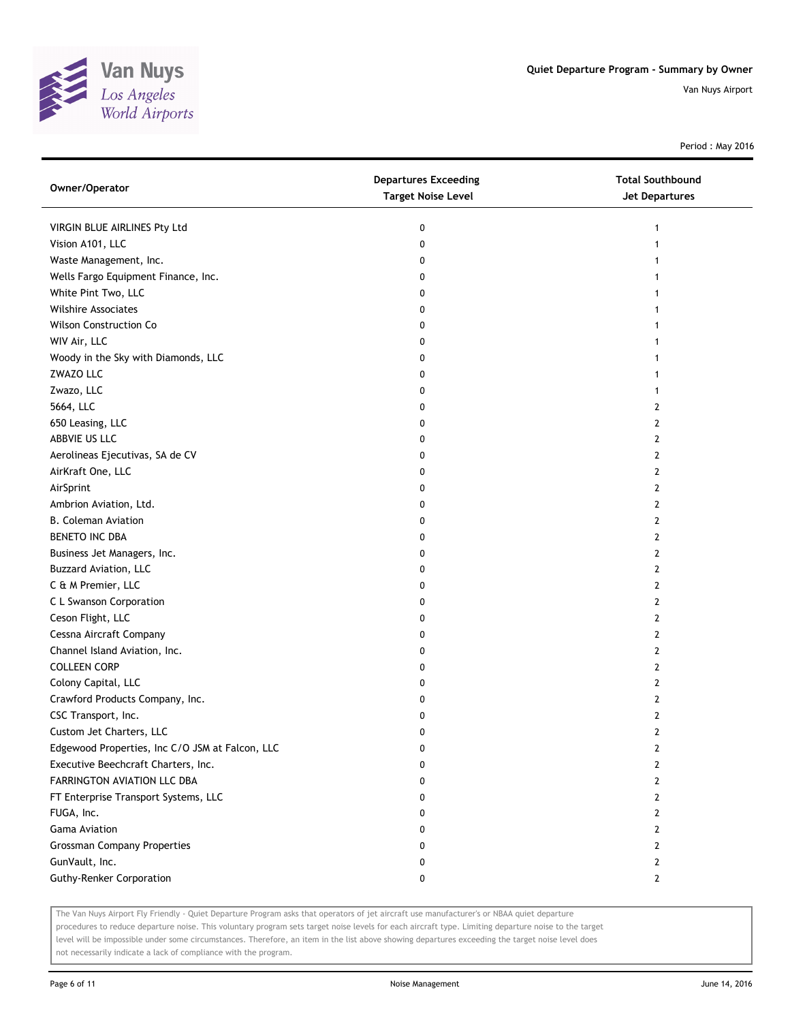

Period : May 2016

| Owner/Operator                                  | <b>Departures Exceeding</b><br><b>Target Noise Level</b> | <b>Total Southbound</b><br><b>Jet Departures</b> |
|-------------------------------------------------|----------------------------------------------------------|--------------------------------------------------|
| VIRGIN BLUE AIRLINES Pty Ltd                    | 0                                                        | 1                                                |
| Vision A101, LLC                                | 0                                                        |                                                  |
| Waste Management, Inc.                          | 0                                                        |                                                  |
| Wells Fargo Equipment Finance, Inc.             | 0                                                        |                                                  |
| White Pint Two, LLC                             | 0                                                        |                                                  |
| <b>Wilshire Associates</b>                      | 0                                                        |                                                  |
| <b>Wilson Construction Co</b>                   | 0                                                        |                                                  |
| WIV Air, LLC                                    | 0                                                        | 1                                                |
| Woody in the Sky with Diamonds, LLC             | 0                                                        | 1                                                |
| ZWAZO LLC                                       | 0                                                        |                                                  |
| Zwazo, LLC                                      | 0                                                        |                                                  |
| 5664, LLC                                       | 0                                                        | 2                                                |
| 650 Leasing, LLC                                | 0                                                        | 2                                                |
| ABBVIE US LLC                                   | 0                                                        | 2                                                |
| Aerolineas Ejecutivas, SA de CV                 | 0                                                        | 2                                                |
| AirKraft One, LLC                               | 0                                                        | 2                                                |
| AirSprint                                       | 0                                                        | 2                                                |
| Ambrion Aviation, Ltd.                          | 0                                                        | 2                                                |
| <b>B. Coleman Aviation</b>                      | 0                                                        | 2                                                |
| BENETO INC DBA                                  | 0                                                        | 2                                                |
| Business Jet Managers, Inc.                     | 0                                                        | 2                                                |
| Buzzard Aviation, LLC                           | 0                                                        | 2                                                |
| C & M Premier, LLC                              | 0                                                        | 2                                                |
| C L Swanson Corporation                         | 0                                                        | 2                                                |
| Ceson Flight, LLC                               | 0                                                        | 2                                                |
| Cessna Aircraft Company                         | 0                                                        | 2                                                |
| Channel Island Aviation, Inc.                   | 0                                                        | 2                                                |
| <b>COLLEEN CORP</b>                             | 0                                                        | 2                                                |
| Colony Capital, LLC                             | 0                                                        | 2                                                |
| Crawford Products Company, Inc.                 | 0                                                        | 2                                                |
| CSC Transport, Inc.                             | 0                                                        | 2                                                |
| Custom Jet Charters, LLC                        | 0                                                        | 2                                                |
| Edgewood Properties, Inc C/O JSM at Falcon, LLC | U                                                        | L                                                |
| Executive Beechcraft Charters, Inc.             | 0                                                        | 2                                                |
| FARRINGTON AVIATION LLC DBA                     | 0                                                        | 2                                                |
| FT Enterprise Transport Systems, LLC            | 0                                                        | 2                                                |
| FUGA, Inc.                                      | 0                                                        | 2                                                |
| Gama Aviation                                   | 0                                                        | 2                                                |
| <b>Grossman Company Properties</b>              | 0                                                        | 2                                                |
| GunVault, Inc.                                  | 0                                                        | 2                                                |
| <b>Guthy-Renker Corporation</b>                 | 0                                                        | 2                                                |

The Van Nuys Airport Fly Friendly - Quiet Departure Program asks that operators of jet aircraft use manufacturer's or NBAA quiet departure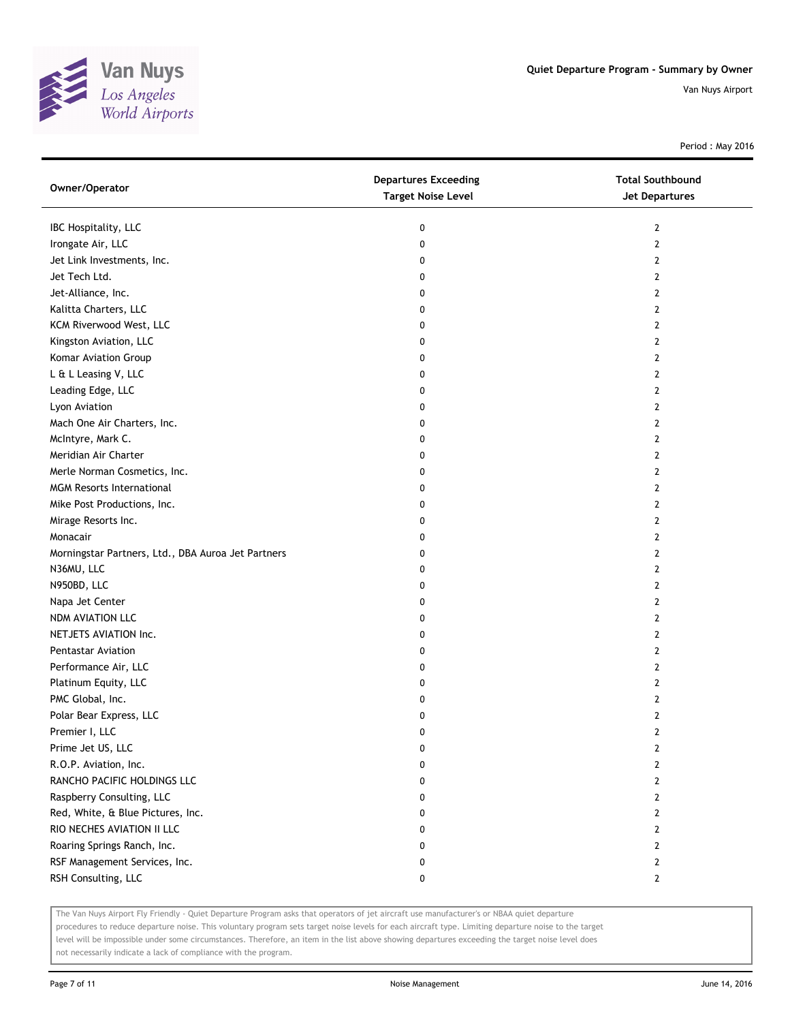

Period : May 2016

| Owner/Operator                                     | <b>Departures Exceeding</b><br><b>Target Noise Level</b> | <b>Total Southbound</b><br>Jet Departures |
|----------------------------------------------------|----------------------------------------------------------|-------------------------------------------|
| IBC Hospitality, LLC                               | 0                                                        | 2                                         |
| Irongate Air, LLC                                  | 0                                                        | 2                                         |
| Jet Link Investments, Inc.                         | 0                                                        | 2                                         |
| Jet Tech Ltd.                                      | 0                                                        | 2                                         |
| Jet-Alliance, Inc.                                 | 0                                                        | 2                                         |
| Kalitta Charters, LLC                              | 0                                                        | 2                                         |
| KCM Riverwood West, LLC                            | 0                                                        | 2                                         |
| Kingston Aviation, LLC                             | 0                                                        | 2                                         |
| Komar Aviation Group                               | 0                                                        | 2                                         |
| L & L Leasing V, LLC                               | 0                                                        | 2                                         |
| Leading Edge, LLC                                  | 0                                                        | 2                                         |
| Lyon Aviation                                      | 0                                                        | 2                                         |
| Mach One Air Charters, Inc.                        | 0                                                        | 2                                         |
| McIntyre, Mark C.                                  | 0                                                        | 2                                         |
| Meridian Air Charter                               | 0                                                        | 2                                         |
| Merle Norman Cosmetics, Inc.                       | 0                                                        | 2                                         |
| <b>MGM Resorts International</b>                   | 0                                                        | 2                                         |
| Mike Post Productions, Inc.                        | 0                                                        | 2                                         |
| Mirage Resorts Inc.                                | 0                                                        | 2                                         |
| Monacair                                           | 0                                                        | 2                                         |
| Morningstar Partners, Ltd., DBA Auroa Jet Partners | 0                                                        | 2                                         |
| N36MU, LLC                                         | 0                                                        | 2                                         |
| N950BD, LLC                                        | 0                                                        | 2                                         |
| Napa Jet Center                                    | 0                                                        | 2                                         |
| NDM AVIATION LLC                                   | 0                                                        | 2                                         |
| NETJETS AVIATION Inc.                              | 0                                                        | 2                                         |
| <b>Pentastar Aviation</b>                          | 0                                                        | 2                                         |
| Performance Air, LLC                               | 0                                                        | 2                                         |
| Platinum Equity, LLC                               | 0                                                        | 2                                         |
| PMC Global, Inc.                                   | 0                                                        | 2                                         |
| Polar Bear Express, LLC                            | 0                                                        | 2                                         |
| Premier I, LLC                                     | 0                                                        | $\mathbf{2}$                              |
| Prime Jet US, LLC                                  | 0                                                        | 2                                         |
| R.O.P. Aviation, Inc.                              | 0                                                        | 2                                         |
| RANCHO PACIFIC HOLDINGS LLC                        | 0                                                        | 2                                         |
| Raspberry Consulting, LLC                          | 0                                                        | 2                                         |
| Red, White, & Blue Pictures, Inc.                  | 0                                                        | 2                                         |
| RIO NECHES AVIATION II LLC                         | 0                                                        | 2                                         |
| Roaring Springs Ranch, Inc.                        | 0                                                        | $\overline{2}$                            |
| RSF Management Services, Inc.                      | 0                                                        | 2                                         |
| RSH Consulting, LLC                                | 0                                                        | $\mathbf{2}$                              |

The Van Nuys Airport Fly Friendly - Quiet Departure Program asks that operators of jet aircraft use manufacturer's or NBAA quiet departure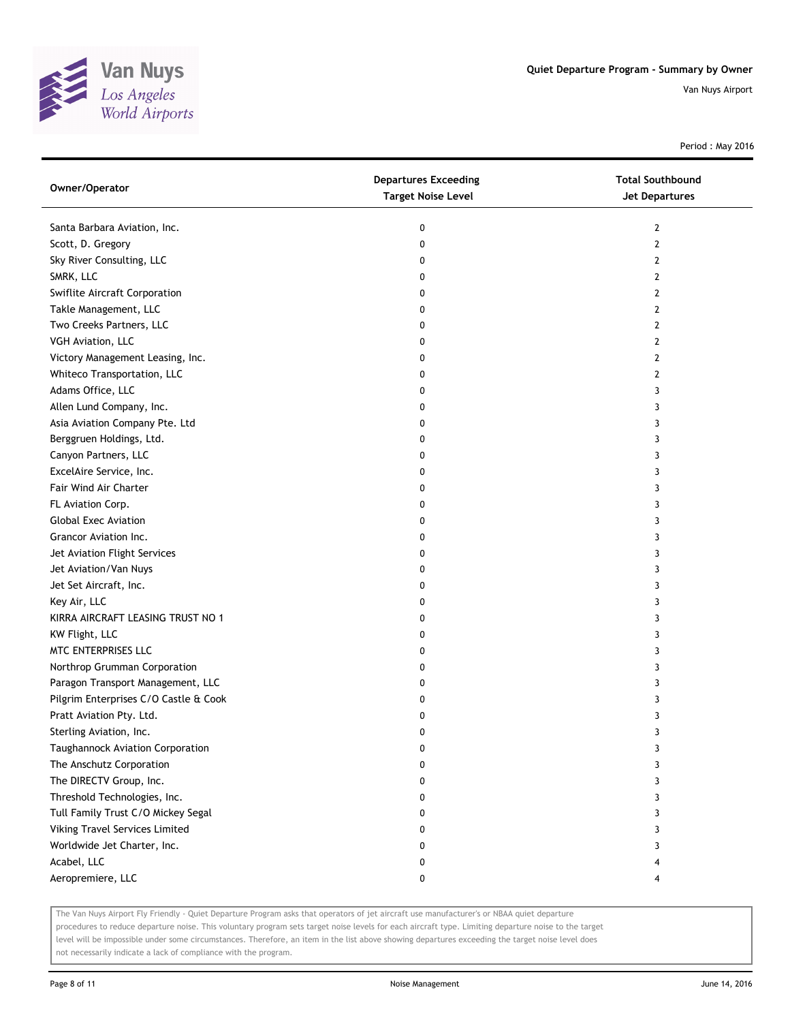

Period : May 2016

| Owner/Operator                        | <b>Departures Exceeding</b><br><b>Target Noise Level</b> | <b>Total Southbound</b><br><b>Jet Departures</b> |
|---------------------------------------|----------------------------------------------------------|--------------------------------------------------|
| Santa Barbara Aviation, Inc.          | 0                                                        | 2                                                |
| Scott, D. Gregory                     | 0                                                        | $\overline{2}$                                   |
| Sky River Consulting, LLC             | 0                                                        | 2                                                |
| SMRK, LLC                             | 0                                                        | 2                                                |
| Swiflite Aircraft Corporation         | 0                                                        | 2                                                |
| Takle Management, LLC                 | 0                                                        | 2                                                |
| Two Creeks Partners, LLC              | 0                                                        | 2                                                |
| VGH Aviation, LLC                     | 0                                                        | 2                                                |
| Victory Management Leasing, Inc.      | 0                                                        | 2                                                |
| Whiteco Transportation, LLC           | 0                                                        | 2                                                |
| Adams Office, LLC                     | 0                                                        | 3                                                |
| Allen Lund Company, Inc.              | 0                                                        | 3                                                |
| Asia Aviation Company Pte. Ltd        | 0                                                        | 3                                                |
| Berggruen Holdings, Ltd.              | 0                                                        | 3                                                |
| Canyon Partners, LLC                  | 0                                                        | 3                                                |
| ExcelAire Service, Inc.               | 0                                                        | 3                                                |
| Fair Wind Air Charter                 | 0                                                        | 3                                                |
| FL Aviation Corp.                     | 0                                                        | 3                                                |
| <b>Global Exec Aviation</b>           | 0                                                        | 3                                                |
| Grancor Aviation Inc.                 | 0                                                        | 3                                                |
| Jet Aviation Flight Services          | 0                                                        | 3                                                |
| Jet Aviation/Van Nuys                 | 0                                                        | 3                                                |
| Jet Set Aircraft, Inc.                | 0                                                        | 3                                                |
| Key Air, LLC                          | 0                                                        | 3                                                |
| KIRRA AIRCRAFT LEASING TRUST NO 1     | 0                                                        | 3                                                |
| KW Flight, LLC                        | 0                                                        | 3                                                |
| MTC ENTERPRISES LLC                   | 0                                                        | 3                                                |
| Northrop Grumman Corporation          | 0                                                        | 3                                                |
| Paragon Transport Management, LLC     | 0                                                        | 3                                                |
| Pilgrim Enterprises C/O Castle & Cook | 0                                                        | 3                                                |
| Pratt Aviation Pty. Ltd.              | 0                                                        | 3                                                |
| Sterling Aviation, Inc.               | 0                                                        | 3                                                |
| Taughannock Aviation Corporation      | U                                                        | 3                                                |
| The Anschutz Corporation              | 0                                                        | 3                                                |
| The DIRECTV Group, Inc.               | 0                                                        | 3                                                |
| Threshold Technologies, Inc.          | 0                                                        | 3                                                |
| Tull Family Trust C/O Mickey Segal    | 0                                                        | 3                                                |
| Viking Travel Services Limited        | 0                                                        | 3                                                |
| Worldwide Jet Charter, Inc.           | 0                                                        | 3                                                |
| Acabel, LLC                           | 0                                                        | 4                                                |
| Aeropremiere, LLC                     | 0                                                        |                                                  |

The Van Nuys Airport Fly Friendly - Quiet Departure Program asks that operators of jet aircraft use manufacturer's or NBAA quiet departure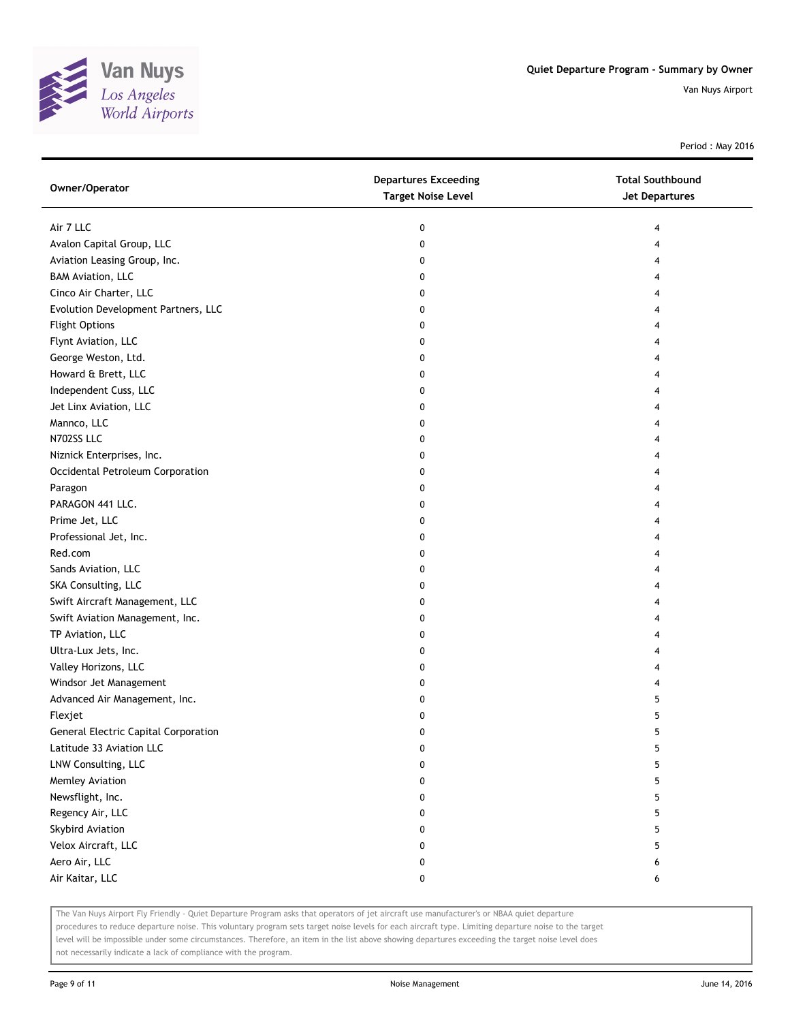

Period : May 2016

| Owner/Operator                       | <b>Departures Exceeding</b><br><b>Target Noise Level</b> | <b>Total Southbound</b><br><b>Jet Departures</b> |
|--------------------------------------|----------------------------------------------------------|--------------------------------------------------|
| Air 7 LLC                            | 0                                                        | 4                                                |
| Avalon Capital Group, LLC            | 0                                                        |                                                  |
| Aviation Leasing Group, Inc.         | 0                                                        |                                                  |
| <b>BAM Aviation, LLC</b>             | 0                                                        |                                                  |
| Cinco Air Charter, LLC               | 0                                                        |                                                  |
| Evolution Development Partners, LLC  | 0                                                        |                                                  |
| <b>Flight Options</b>                | 0                                                        |                                                  |
| Flynt Aviation, LLC                  | 0                                                        |                                                  |
| George Weston, Ltd.                  | 0                                                        |                                                  |
| Howard & Brett, LLC                  | 0                                                        |                                                  |
| Independent Cuss, LLC                | 0                                                        |                                                  |
| Jet Linx Aviation, LLC               | 0                                                        |                                                  |
| Mannco, LLC                          | 0                                                        |                                                  |
| N702SS LLC                           | 0                                                        |                                                  |
| Niznick Enterprises, Inc.            | 0                                                        |                                                  |
| Occidental Petroleum Corporation     | 0                                                        |                                                  |
| Paragon                              | 0                                                        |                                                  |
| PARAGON 441 LLC.                     | 0                                                        | 4                                                |
| Prime Jet, LLC                       | 0                                                        | 4                                                |
| Professional Jet, Inc.               | 0                                                        | 4                                                |
| Red.com                              | 0                                                        |                                                  |
| Sands Aviation, LLC                  | 0                                                        |                                                  |
| SKA Consulting, LLC                  | 0                                                        |                                                  |
| Swift Aircraft Management, LLC       | 0                                                        |                                                  |
| Swift Aviation Management, Inc.      | 0                                                        |                                                  |
| TP Aviation, LLC                     | 0                                                        |                                                  |
| Ultra-Lux Jets, Inc.                 | 0                                                        |                                                  |
| Valley Horizons, LLC                 | 0                                                        | 4                                                |
| Windsor Jet Management               | 0                                                        | 4                                                |
| Advanced Air Management, Inc.        | 0                                                        | 5                                                |
| Flexjet                              | 0                                                        | 5                                                |
| General Electric Capital Corporation | 0                                                        | 5                                                |
| Latitude 33 Aviation LLC             | U                                                        |                                                  |
| LNW Consulting, LLC                  | 0                                                        | 5                                                |
| Memley Aviation                      | 0                                                        | 5                                                |
| Newsflight, Inc.                     | 0                                                        | 5                                                |
| Regency Air, LLC                     | 0                                                        | 5                                                |
| <b>Skybird Aviation</b>              | 0                                                        | 5                                                |
| Velox Aircraft, LLC                  | 0                                                        | 5                                                |
| Aero Air, LLC                        | 0                                                        | 6                                                |
| Air Kaitar, LLC                      | 0                                                        | 6                                                |

The Van Nuys Airport Fly Friendly - Quiet Departure Program asks that operators of jet aircraft use manufacturer's or NBAA quiet departure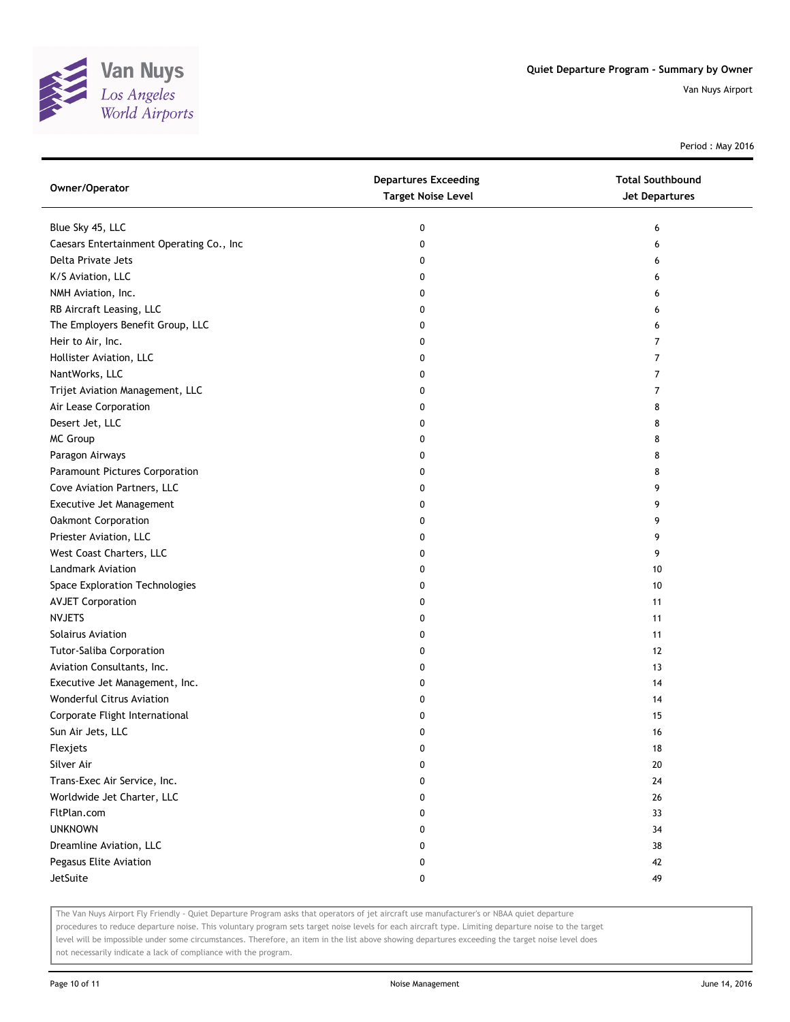

Period : May 2016

| Owner/Operator                           | <b>Departures Exceeding</b><br><b>Target Noise Level</b> | <b>Total Southbound</b><br>Jet Departures |
|------------------------------------------|----------------------------------------------------------|-------------------------------------------|
| Blue Sky 45, LLC                         | 0                                                        | 6                                         |
| Caesars Entertainment Operating Co., Inc | 0                                                        | 6                                         |
| Delta Private Jets                       | 0                                                        | 6                                         |
| K/S Aviation, LLC                        | 0                                                        | 6                                         |
| NMH Aviation, Inc.                       | 0                                                        | 6                                         |
| RB Aircraft Leasing, LLC                 | 0                                                        | 6                                         |
| The Employers Benefit Group, LLC         | 0                                                        | 6                                         |
| Heir to Air, Inc.                        | 0                                                        | 7                                         |
| Hollister Aviation, LLC                  | 0                                                        | 7                                         |
| NantWorks, LLC                           | 0                                                        | $\overline{7}$                            |
| Trijet Aviation Management, LLC          | 0                                                        | $\overline{7}$                            |
| Air Lease Corporation                    | 0                                                        | 8                                         |
| Desert Jet, LLC                          | 0                                                        | 8                                         |
| MC Group                                 | 0                                                        | 8                                         |
| Paragon Airways                          | 0                                                        | 8                                         |
| Paramount Pictures Corporation           | 0                                                        | 8                                         |
| Cove Aviation Partners, LLC              | 0                                                        | 9                                         |
| Executive Jet Management                 | 0                                                        | 9                                         |
| Oakmont Corporation                      | 0                                                        | 9                                         |
| Priester Aviation, LLC                   | 0                                                        | 9                                         |
| West Coast Charters, LLC                 | 0                                                        | 9                                         |
| Landmark Aviation                        | 0                                                        | 10                                        |
| Space Exploration Technologies           | 0                                                        | 10                                        |
| <b>AVJET Corporation</b>                 | 0                                                        | 11                                        |
| <b>NVJETS</b>                            | 0                                                        | 11                                        |
| Solairus Aviation                        | 0                                                        | 11                                        |
| <b>Tutor-Saliba Corporation</b>          | 0                                                        | 12                                        |
| Aviation Consultants, Inc.               | 0                                                        | 13                                        |
| Executive Jet Management, Inc.           | 0                                                        | 14                                        |
| Wonderful Citrus Aviation                | 0                                                        | 14                                        |
| Corporate Flight International           | 0                                                        | 15                                        |
| Sun Air Jets, LLC                        | 0                                                        | 16                                        |
| Flexjets                                 | U                                                        | 18                                        |
| Silver Air                               | 0                                                        | 20                                        |
| Trans-Exec Air Service, Inc.             | 0                                                        | 24                                        |
| Worldwide Jet Charter, LLC               | 0                                                        | 26                                        |
| FltPlan.com                              | 0                                                        | 33                                        |
| <b>UNKNOWN</b>                           | 0                                                        | 34                                        |
| Dreamline Aviation, LLC                  | 0                                                        | 38                                        |
| Pegasus Elite Aviation                   | 0                                                        | 42                                        |
| JetSuite                                 | 0                                                        | 49                                        |

The Van Nuys Airport Fly Friendly - Quiet Departure Program asks that operators of jet aircraft use manufacturer's or NBAA quiet departure